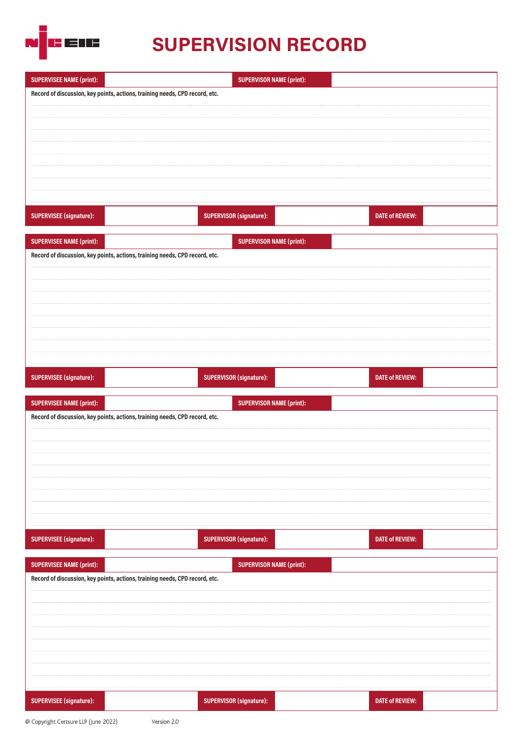

# **SUPERVISION RECORD**

| <b>SUPERVISEE NAME (print):</b> | <b>SUPERVISOR NAME (print):</b>                                                                                |  |
|---------------------------------|----------------------------------------------------------------------------------------------------------------|--|
|                                 | Record of discussion, key points, actions, training needs, CPD record, etc.                                    |  |
|                                 |                                                                                                                |  |
|                                 |                                                                                                                |  |
|                                 |                                                                                                                |  |
|                                 |                                                                                                                |  |
|                                 |                                                                                                                |  |
|                                 |                                                                                                                |  |
|                                 |                                                                                                                |  |
| <b>SUPERVISEE (signature):</b>  | <b>SUPERVISOR (signature):</b><br><b>DATE of REVIEW:</b>                                                       |  |
|                                 |                                                                                                                |  |
| <b>SUPERVISEE NAME (print):</b> | <b>SUPERVISOR NAME (print):</b>                                                                                |  |
|                                 | Record of discussion, key points, actions, training needs, CPD record, etc.                                    |  |
|                                 |                                                                                                                |  |
|                                 |                                                                                                                |  |
|                                 |                                                                                                                |  |
|                                 |                                                                                                                |  |
|                                 |                                                                                                                |  |
|                                 |                                                                                                                |  |
|                                 |                                                                                                                |  |
|                                 |                                                                                                                |  |
| SUPERVISEE (signature):         | <b>SUPERVISOR (signature):</b><br><b>DATE of REVIEW:</b>                                                       |  |
|                                 |                                                                                                                |  |
|                                 |                                                                                                                |  |
| <b>SUPERVISEE NAME (print):</b> | <b>SUPERVISOR NAME (print):</b><br>Record of discussion, key points, actions, training needs, CPD record, etc. |  |
|                                 |                                                                                                                |  |
|                                 |                                                                                                                |  |
|                                 |                                                                                                                |  |
|                                 |                                                                                                                |  |
|                                 |                                                                                                                |  |
|                                 |                                                                                                                |  |
|                                 |                                                                                                                |  |
|                                 |                                                                                                                |  |
| SUPERVISEE (signature):         | <b>SUPERVISOR (signature):</b><br><b>DATE of REVIEW:</b>                                                       |  |
|                                 |                                                                                                                |  |
| <b>SUPERVISEE NAME (print):</b> | <b>SUPERVISOR NAME (print):</b>                                                                                |  |
|                                 | Record of discussion, key points, actions, training needs, CPD record, etc.                                    |  |
|                                 |                                                                                                                |  |
|                                 |                                                                                                                |  |
|                                 |                                                                                                                |  |
|                                 |                                                                                                                |  |
|                                 |                                                                                                                |  |
|                                 |                                                                                                                |  |
|                                 |                                                                                                                |  |

Version 2.0